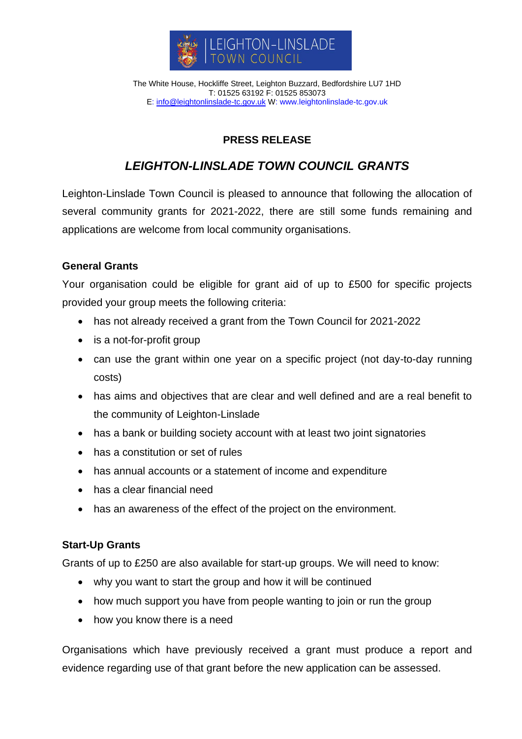

The White House, Hockliffe Street, Leighton Buzzard, Bedfordshire LU7 1HD T: 01525 63192 F: 01525 853073 E: [info@leightonlinslade-tc.gov.uk](mailto:bookings@leightonlinslade-tc.gov.uk) W: [www.leightonlinslade-tc.gov.uk](http://www.leightonlinslade-tc.gov.uk/)

## **PRESS RELEASE**

# *LEIGHTON-LINSLADE TOWN COUNCIL GRANTS*

Leighton-Linslade Town Council is pleased to announce that following the allocation of several community grants for 2021-2022, there are still some funds remaining and applications are welcome from local community organisations.

### **General Grants**

Your organisation could be eligible for grant aid of up to £500 for specific projects provided your group meets the following criteria:

- has not already received a grant from the Town Council for 2021-2022
- is a not-for-profit group
- can use the grant within one year on a specific project (not day-to-day running costs)
- has aims and objectives that are clear and well defined and are a real benefit to the community of Leighton-Linslade
- has a bank or building society account with at least two joint signatories
- has a constitution or set of rules
- has annual accounts or a statement of income and expenditure
- has a clear financial need
- has an awareness of the effect of the project on the environment.

#### **Start-Up Grants**

Grants of up to £250 are also available for start-up groups. We will need to know:

- why you want to start the group and how it will be continued
- how much support you have from people wanting to join or run the group
- how you know there is a need

Organisations which have previously received a grant must produce a report and evidence regarding use of that grant before the new application can be assessed.